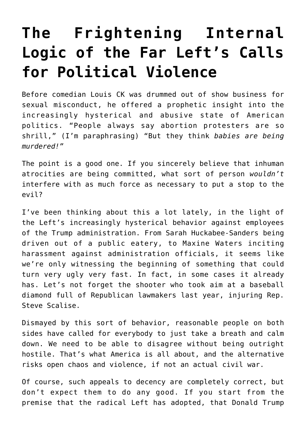## **[The Frightening Internal](https://intellectualtakeout.org/2018/07/the-frightening-internal-logic-of-the-far-lefts-calls-for-political-violence/) [Logic of the Far Left's Calls](https://intellectualtakeout.org/2018/07/the-frightening-internal-logic-of-the-far-lefts-calls-for-political-violence/) [for Political Violence](https://intellectualtakeout.org/2018/07/the-frightening-internal-logic-of-the-far-lefts-calls-for-political-violence/)**

Before comedian Louis CK was drummed out of show business for sexual misconduct, he offered a prophetic insight into the increasingly hysterical and abusive state of American politics. "People always say abortion protesters are so shrill," (I'm paraphrasing) "But they think *babies are being murdered!"*

The point is a good one. If you sincerely believe that inhuman atrocities are being committed, what sort of person *wouldn't* interfere with as much force as necessary to put a stop to the evil?

I've been thinking about this a lot lately, in the light of the Left's increasingly hysterical behavior against employees of the Trump administration. From Sarah Huckabee-Sanders being driven out of a public eatery, to Maxine Waters inciting harassment against administration officials, it seems like we're only witnessing the beginning of something that could turn very ugly very fast. In fact, in some cases it already has. Let's not forget the shooter who took aim at a baseball diamond full of Republican lawmakers last year, injuring Rep. Steve Scalise.

Dismayed by this sort of behavior, reasonable people on both sides have called for everybody to just take a breath and calm down. We need to be able to disagree without being outright hostile. That's what America is all about, and the alternative risks open chaos and violence, if not an actual civil war.

Of course, such appeals to decency are completely correct, but don't expect them to do any good. If you start from the premise that the radical Left has adopted, that Donald Trump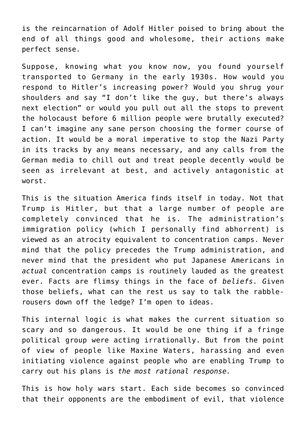is the reincarnation of Adolf Hitler poised to bring about the end of all things good and wholesome, their actions make perfect sense.

Suppose, knowing what you know now, you found yourself transported to Germany in the early 1930s. How would you respond to Hitler's increasing power? Would you shrug your shoulders and say "I don't like the guy, but there's always next election" or would you pull out all the stops to prevent the holocaust before 6 million people were brutally executed? I can't imagine any sane person choosing the former course of action. It would be a moral imperative to stop the Nazi Party in its tracks by any means necessary, and any calls from the German media to chill out and treat people decently would be seen as irrelevant at best, and actively antagonistic at worst.

This is the situation America finds itself in today. Not that Trump is Hitler, but that a large number of people are completely convinced that he is. The administration's immigration policy (which I personally find abhorrent) is viewed as an atrocity equivalent to concentration camps. Never mind that the policy precedes the Trump administration, and never mind that the president who put Japanese Americans in *actual* concentration camps is routinely lauded as the greatest ever. Facts are flimsy things in the face of *beliefs. G*iven those beliefs, what can the rest us say to talk the rabblerousers down off the ledge? I'm open to ideas.

This internal logic is what makes the current situation so scary and so dangerous. It would be one thing if a fringe political group were acting irrationally. But from the point of view of people like Maxine Waters, harassing and even initiating violence against people who are enabling Trump to carry out his plans is *the most rational response.*

This is how holy wars start. Each side becomes so convinced that their opponents are the embodiment of evil, that violence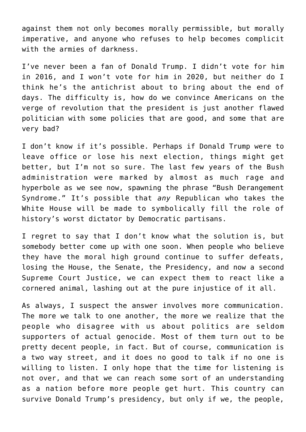against them not only becomes morally permissible, but morally imperative, and anyone who refuses to help becomes complicit with the armies of darkness.

I've never been a fan of Donald Trump. I didn't vote for him in 2016, and I won't vote for him in 2020, but neither do I think he's the antichrist about to bring about the end of days. The difficulty is, how do we convince Americans on the verge of revolution that the president is just another flawed politician with some policies that are good, and some that are very bad?

I don't know if it's possible. Perhaps if Donald Trump were to leave office or lose his next election, things might get better, but I'm not so sure. The last few years of the Bush administration were marked by almost as much rage and hyperbole as we see now, spawning the phrase "Bush Derangement Syndrome." It's possible that *any* Republican who takes the White House will be made to symbolically fill the role of history's worst dictator by Democratic partisans.

I regret to say that I don't know what the solution is, but somebody better come up with one soon. When people who believe they have the moral high ground continue to suffer defeats, losing the House, the Senate, the Presidency, and now a second Supreme Court Justice, we can expect them to react like a cornered animal, lashing out at the pure injustice of it all.

As always, I suspect the answer involves more communication. The more we talk to one another, the more we realize that the people who disagree with us about politics are seldom supporters of actual genocide. Most of them turn out to be pretty decent people, in fact. But of course, communication is a two way street, and it does no good to talk if no one is willing to listen. I only hope that the time for listening is not over, and that we can reach some sort of an understanding as a nation before more people get hurt. This country can survive Donald Trump's presidency, but only if we, the people,